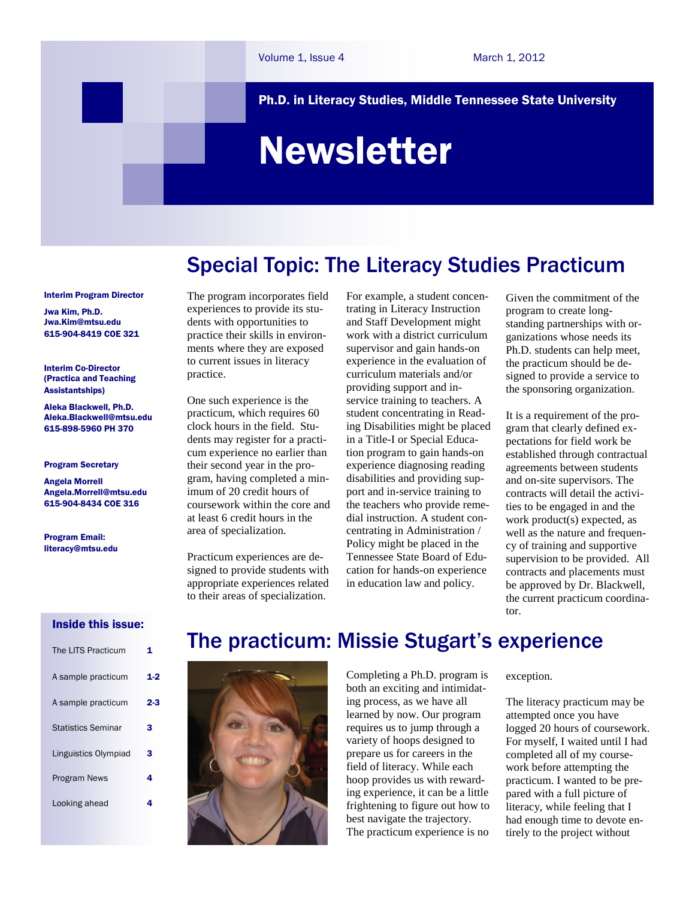Ph.D. in Literacy Studies, Middle Tennessee State University

# Newsletter

# Special Topic: The Literacy Studies Practicum

#### Interim Program Director

Jwa Kim, Ph.D. Jwa.Kim@mtsu.edu 615-904-8419 COE 321

Interim Co-Director (Practica and Teaching Assistantships)

Aleka Blackwell, Ph.D. Aleka.Blackwell@mtsu.edu 615-898-5960 PH 370

#### Program Secretary

Angela Morrell Angela.Morrell@mtsu.edu 615-904-8434 COE 316

Program Email: literacy@mtsu.edu The program incorporates field experiences to provide its students with opportunities to practice their skills in environments where they are exposed to current issues in literacy practice.

One such experience is the practicum, which requires 60 clock hours in the field. Students may register for a practicum experience no earlier than their second year in the program, having completed a minimum of 20 credit hours of coursework within the core and at least 6 credit hours in the area of specialization.

Practicum experiences are designed to provide students with appropriate experiences related to their areas of specialization.

For example, a student concentrating in Literacy Instruction and Staff Development might work with a district curriculum supervisor and gain hands-on experience in the evaluation of curriculum materials and/or providing support and inservice training to teachers. A student concentrating in Reading Disabilities might be placed in a Title-I or Special Education program to gain hands-on experience diagnosing reading disabilities and providing support and in-service training to the teachers who provide remedial instruction. A student concentrating in Administration / Policy might be placed in the Tennessee State Board of Education for hands-on experience in education law and policy.

Given the commitment of the program to create longstanding partnerships with organizations whose needs its Ph.D. students can help meet, the practicum should be designed to provide a service to the sponsoring organization.

It is a requirement of the program that clearly defined expectations for field work be established through contractual agreements between students and on-site supervisors. The contracts will detail the activities to be engaged in and the work product(s) expected, as well as the nature and frequency of training and supportive supervision to be provided. All contracts and placements must be approved by Dr. Blackwell, the current practicum coordinator.

# Inside this issue:

| The LITS Practicum        | 1   |
|---------------------------|-----|
| A sample practicum        | 1-2 |
| A sample practicum        | 2-3 |
| <b>Statistics Seminar</b> | 3   |
| Linguistics Olympiad      | з   |
| <b>Program News</b>       | 4   |
| Looking ahead             | 4   |
|                           |     |

# The practicum: Missie Stugart's experience



Completing a Ph.D. program is both an exciting and intimidating process, as we have all learned by now. Our program requires us to jump through a variety of hoops designed to prepare us for careers in the field of literacy. While each hoop provides us with rewarding experience, it can be a little frightening to figure out how to best navigate the trajectory. The practicum experience is no exception.

The literacy practicum may be attempted once you have logged 20 hours of coursework. For myself, I waited until I had completed all of my coursework before attempting the practicum. I wanted to be prepared with a full picture of literacy, while feeling that I had enough time to devote entirely to the project without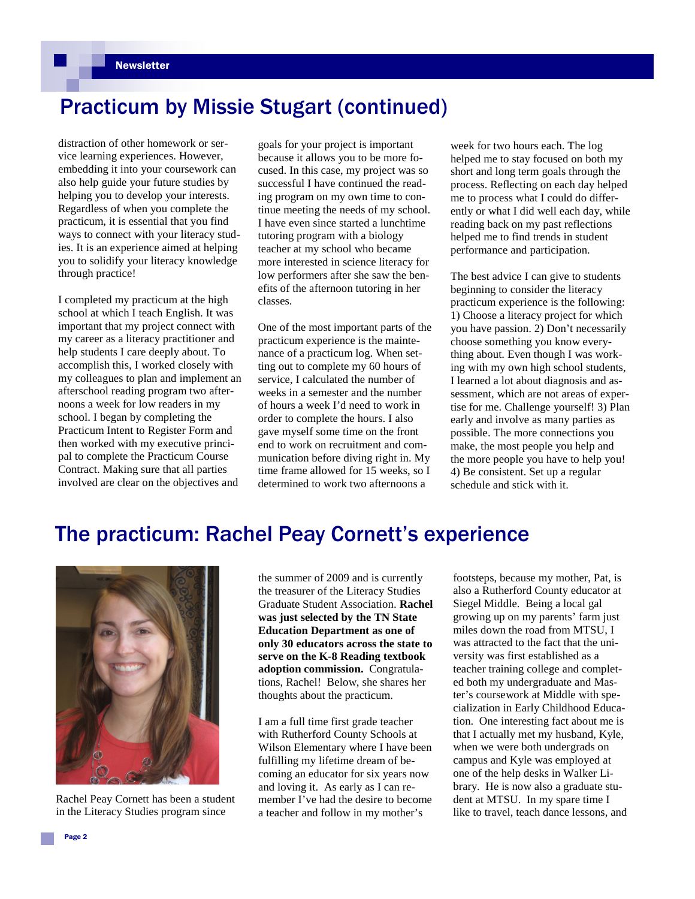# Practicum by Missie Stugart (continued)

distraction of other homework or service learning experiences. However, embedding it into your coursework can also help guide your future studies by helping you to develop your interests. Regardless of when you complete the practicum, it is essential that you find ways to connect with your literacy studies. It is an experience aimed at helping you to solidify your literacy knowledge through practice!

I completed my practicum at the high school at which I teach English. It was important that my project connect with my career as a literacy practitioner and help students I care deeply about. To accomplish this, I worked closely with my colleagues to plan and implement an afterschool reading program two afternoons a week for low readers in my school. I began by completing the Practicum Intent to Register Form and then worked with my executive principal to complete the Practicum Course Contract. Making sure that all parties involved are clear on the objectives and

goals for your project is important because it allows you to be more focused. In this case, my project was so successful I have continued the reading program on my own time to continue meeting the needs of my school. I have even since started a lunchtime tutoring program with a biology teacher at my school who became more interested in science literacy for low performers after she saw the benefits of the afternoon tutoring in her classes.

One of the most important parts of the practicum experience is the maintenance of a practicum log. When setting out to complete my 60 hours of service, I calculated the number of weeks in a semester and the number of hours a week I'd need to work in order to complete the hours. I also gave myself some time on the front end to work on recruitment and communication before diving right in. My time frame allowed for 15 weeks, so I determined to work two afternoons a

week for two hours each. The log helped me to stay focused on both my short and long term goals through the process. Reflecting on each day helped me to process what I could do differently or what I did well each day, while reading back on my past reflections helped me to find trends in student performance and participation.

The best advice I can give to students beginning to consider the literacy practicum experience is the following: 1) Choose a literacy project for which you have passion. 2) Don't necessarily choose something you know everything about. Even though I was working with my own high school students, I learned a lot about diagnosis and assessment, which are not areas of expertise for me. Challenge yourself! 3) Plan early and involve as many parties as possible. The more connections you make, the most people you help and the more people you have to help you! 4) Be consistent. Set up a regular schedule and stick with it.

# The practicum: Rachel Peay Cornett's experience



Rachel Peay Cornett has been a student in the Literacy Studies program since

the summer of 2009 and is currently the treasurer of the Literacy Studies Graduate Student Association. **Rachel was just selected by the TN State Education Department as one of only 30 educators across the state to serve on the K-8 Reading textbook adoption commission.** Congratulations, Rachel! Below, she shares her thoughts about the practicum.

I am a full time first grade teacher with Rutherford County Schools at Wilson Elementary where I have been fulfilling my lifetime dream of becoming an educator for six years now and loving it. As early as I can remember I've had the desire to become a teacher and follow in my mother's

footsteps, because my mother, Pat, is also a Rutherford County educator at Siegel Middle. Being a local gal growing up on my parents' farm just miles down the road from MTSU, I was attracted to the fact that the university was first established as a teacher training college and completed both my undergraduate and Master's coursework at Middle with specialization in Early Childhood Education. One interesting fact about me is that I actually met my husband, Kyle, when we were both undergrads on campus and Kyle was employed at one of the help desks in Walker Library. He is now also a graduate student at MTSU. In my spare time I like to travel, teach dance lessons, and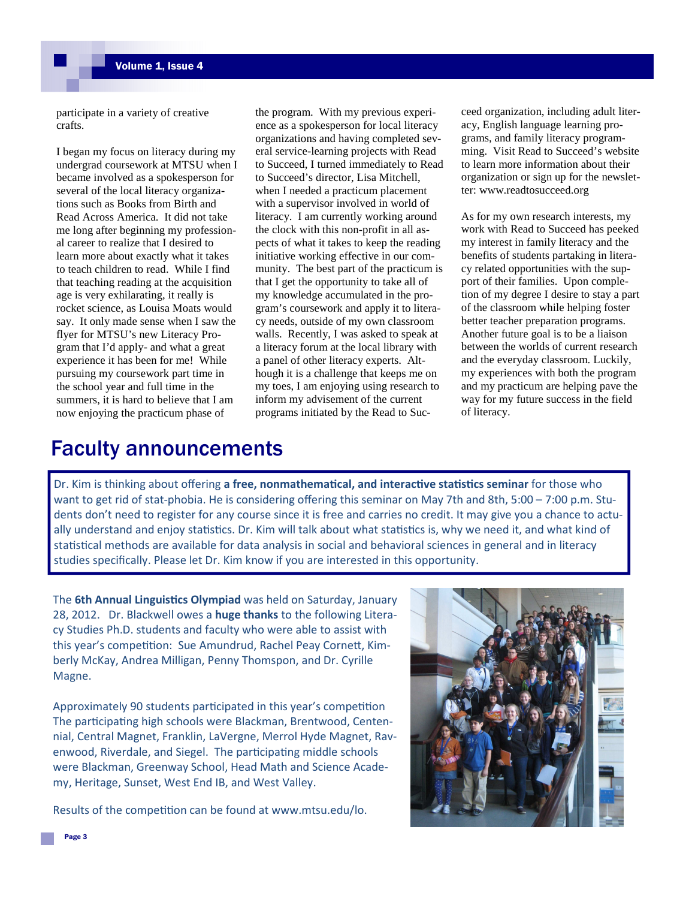participate in a variety of creative crafts.

I began my focus on literacy during my undergrad coursework at MTSU when I became involved as a spokesperson for several of the local literacy organizations such as Books from Birth and Read Across America. It did not take me long after beginning my professional career to realize that I desired to learn more about exactly what it takes to teach children to read. While I find that teaching reading at the acquisition age is very exhilarating, it really is rocket science, as Louisa Moats would say. It only made sense when I saw the flyer for MTSU's new Literacy Program that I'd apply- and what a great experience it has been for me! While pursuing my coursework part time in the school year and full time in the summers, it is hard to believe that I am now enjoying the practicum phase of

the program. With my previous experience as a spokesperson for local literacy organizations and having completed several service-learning projects with Read to Succeed, I turned immediately to Read to Succeed's director, Lisa Mitchell, when I needed a practicum placement with a supervisor involved in world of literacy. I am currently working around the clock with this non-profit in all aspects of what it takes to keep the reading initiative working effective in our community. The best part of the practicum is that I get the opportunity to take all of my knowledge accumulated in the program's coursework and apply it to literacy needs, outside of my own classroom walls. Recently, I was asked to speak at a literacy forum at the local library with a panel of other literacy experts. Although it is a challenge that keeps me on my toes, I am enjoying using research to inform my advisement of the current programs initiated by the Read to Succeed organization, including adult literacy, English language learning programs, and family literacy programming. Visit Read to Succeed's website to learn more information about their organization or sign up for the newsletter: www.readtosucceed.org

As for my own research interests, my work with Read to Succeed has peeked my interest in family literacy and the benefits of students partaking in literacy related opportunities with the support of their families. Upon completion of my degree I desire to stay a part of the classroom while helping foster better teacher preparation programs. Another future goal is to be a liaison between the worlds of current research and the everyday classroom. Luckily, my experiences with both the program and my practicum are helping pave the way for my future success in the field of literacy.

# Faculty announcements

Dr. Kim is thinking about offering a free, nonmathematical, and interactive statistics seminar for those who want to get rid of stat-phobia. He is considering offering this seminar on May 7th and 8th, 5:00 – 7:00 p.m. Students don't need to register for any course since it is free and carries no credit. It may give you a chance to actually understand and enjoy statistics. Dr. Kim will talk about what statistics is, why we need it, and what kind of statistical methods are available for data analysis in social and behavioral sciences in general and in literacy studies specifically. Please let Dr. Kim know if you are interested in this opportunity.

The 6th Annual Linguistics Olympiad was held on Saturday, January 28, 2012. Dr. Blackwell owes a **huge thanks** to the following Literacy Studies Ph.D. students and faculty who were able to assist with this year's competition: Sue Amundrud, Rachel Peay Cornett, Kimberly McKay, Andrea Milligan, Penny Thomspon, and Dr. Cyrille Magne.

Approximately 90 students participated in this year's competition The participating high schools were Blackman, Brentwood, Centennial, Central Magnet, Franklin, LaVergne, Merrol Hyde Magnet, Ravenwood, Riverdale, and Siegel. The participating middle schools were Blackman, Greenway School, Head Math and Science Academy, Heritage, Sunset, West End IB, and West Valley.

Results of the competition can be found at www.mtsu.edu/lo.